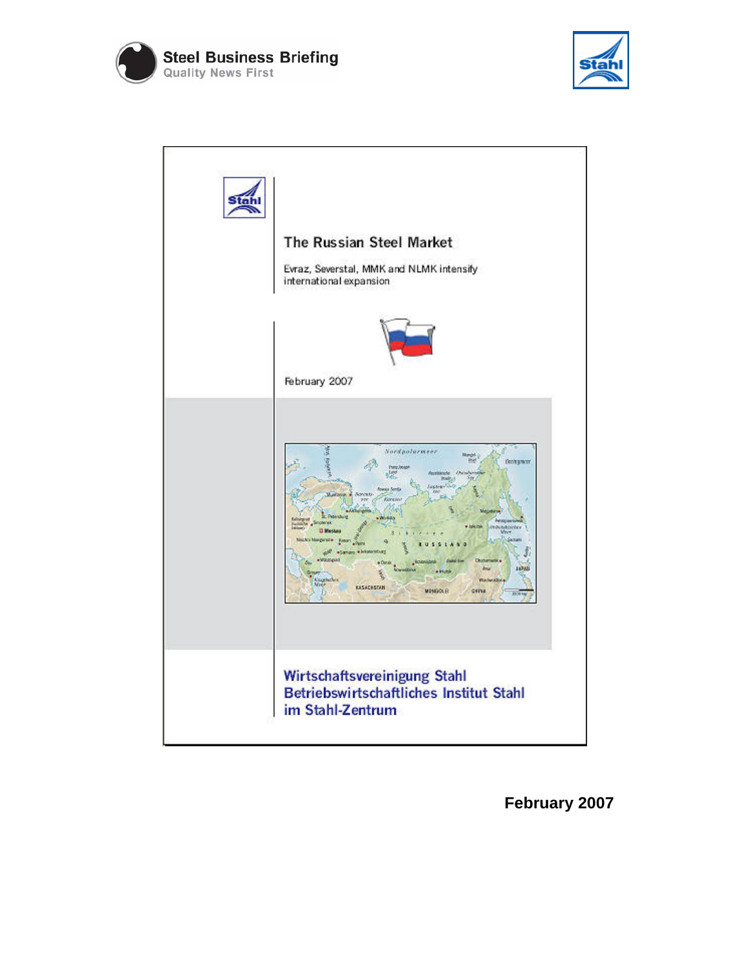





**February 2007**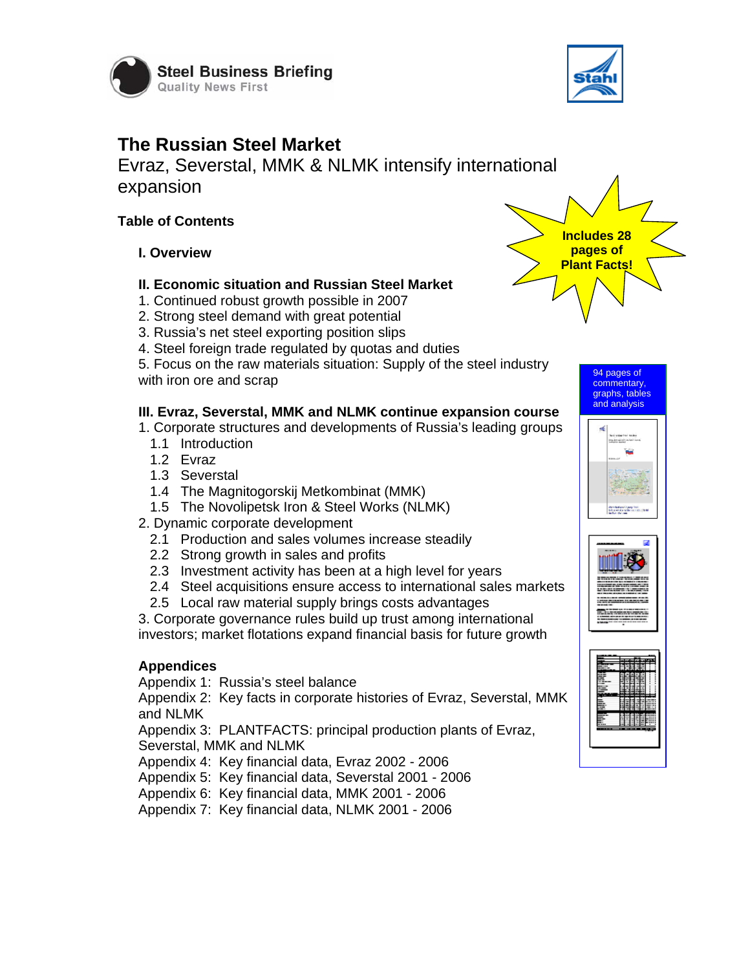



# **The Russian Steel Market**

Evraz, Severstal, MMK & NLMK intensify international expansion

### **Table of Contents**

**I. Overview** 

#### **II. Economic situation and Russian Steel Market**

- 1. Continued robust growth possible in 2007
- 2. Strong steel demand with great potential
- 3. Russia's net steel exporting position slips
- 4. Steel foreign trade regulated by quotas and duties

5. Focus on the raw materials situation: Supply of the steel industry with iron ore and scrap

## **III. Evraz, Severstal, MMK and NLMK continue expansion course**

1. Corporate structures and developments of Russia's leading groups

- 1.1 Introduction
- 1.2 Evraz
- 1.3 Severstal
- 1.4 The Magnitogorskij Metkombinat (MMK)
- 1.5 The Novolipetsk Iron & Steel Works (NLMK)
- 2. Dynamic corporate development
	- 2.1 Production and sales volumes increase steadily
	- 2.2 Strong growth in sales and profits
	- 2.3 Investment activity has been at a high level for years
	- 2.4 Steel acquisitions ensure access to international sales markets
	- 2.5 Local raw material supply brings costs advantages

3. Corporate governance rules build up trust among international investors; market flotations expand financial basis for future growth

#### **Appendices**

Appendix 1: Russia's steel balance

Appendix 2: Key facts in corporate histories of Evraz, Severstal, MMK and NLMK

Appendix 3: PLANTFACTS: principal production plants of Evraz, Severstal, MMK and NLMK

Appendix 4: Key financial data, Evraz 2002 - 2006

Appendix 5: Key financial data, Severstal 2001 - 2006

Appendix 6: Key financial data, MMK 2001 - 2006

Appendix 7: Key financial data, NLMK 2001 - 2006





94 pages of